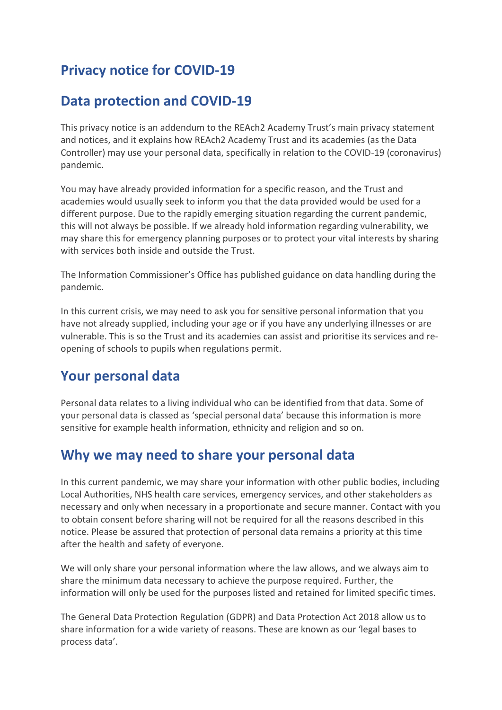# **Privacy notice for COVID-19**

## **Data protection and COVID-19**

This privacy notice is an addendum to the REAch2 Academy Trust's main privacy statement and notices, and it explains how REAch2 Academy Trust and its academies (as the Data Controller) may use your personal data, specifically in relation to the COVID-19 (coronavirus) pandemic.

You may have already provided information for a specific reason, and the Trust and academies would usually seek to inform you that the data provided would be used for a different purpose. Due to the rapidly emerging situation regarding the current pandemic, this will not always be possible. If we already hold information regarding vulnerability, we may share this for emergency planning purposes or to protect your vital interests by sharing with services both inside and outside the Trust.

The Information Commissioner's Office has published guidance on data handling during the pandemic.

In this current crisis, we may need to ask you for sensitive personal information that you have not already supplied, including your age or if you have any underlying illnesses or are vulnerable. This is so the Trust and its academies can assist and prioritise its services and reopening of schools to pupils when regulations permit.

### **Your personal data**

Personal data relates to a living individual who can be identified from that data. Some of your personal data is classed as 'special personal data' because this information is more sensitive for example health information, ethnicity and religion and so on.

### **Why we may need to share your personal data**

In this current pandemic, we may share your information with other public bodies, including Local Authorities, NHS health care services, emergency services, and other stakeholders as necessary and only when necessary in a proportionate and secure manner. Contact with you to obtain consent before sharing will not be required for all the reasons described in this notice. Please be assured that protection of personal data remains a priority at this time after the health and safety of everyone.

We will only share your personal information where the law allows, and we always aim to share the minimum data necessary to achieve the purpose required. Further, the information will only be used for the purposes listed and retained for limited specific times.

The General Data Protection Regulation (GDPR) and Data Protection Act 2018 allow us to share information for a wide variety of reasons. These are known as our 'legal bases to process data'.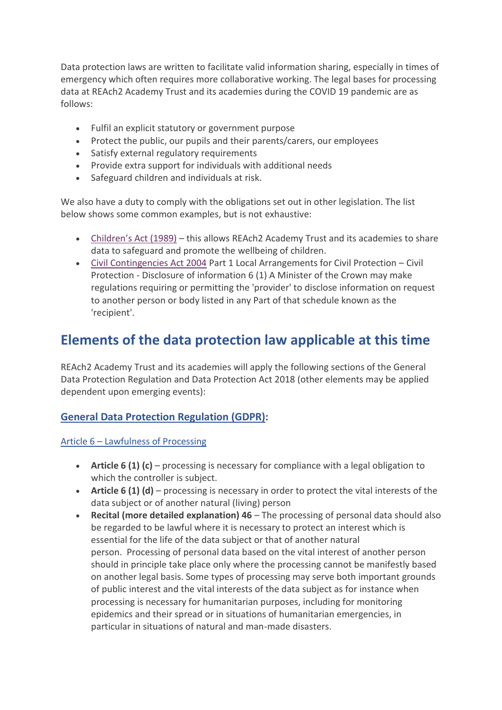Data protection laws are written to facilitate valid information sharing, especially in times of emergency which often requires more collaborative working. The legal bases for processing data at REAch2 Academy Trust and its academies during the COVID 19 pandemic are as follows:

- Fulfil an explicit statutory or government purpose
- Protect the public, our pupils and their parents/carers, our employees
- Satisfy external regulatory requirements
- Provide extra support for individuals with additional needs
- Safeguard children and individuals at risk.

We also have a duty to comply with the obligations set out in other legislation. The list below shows some common examples, but is not exhaustive:

- [Children's Act \(1989\)](http://www.legislation.gov.uk/ukpga/1989/41/contents) this allows REAch2 Academy Trust and its academies to share data to safeguard and promote the wellbeing of children.
- [Civil Contingencies Act 2004](http://www.legislation.gov.uk/ukpga/2004/36/part/1/crossheading/civil-protection?timeline=false) Part 1 Local Arrangements for Civil Protection Civil Protection - Disclosure of information 6 (1) A Minister of the Crown may make regulations requiring or permitting the 'provider' to disclose information on request to another person or body listed in any Part of that schedule known as the 'recipient'.

## **Elements of the data protection law applicable at this time**

REAch2 Academy Trust and its academies will apply the following sections of the General Data Protection Regulation and Data Protection Act 2018 (other elements may be applied dependent upon emerging events):

### **[General Data Protection Regulation \(GDPR\):](https://gdpr.eu/tag/gdpr/)**

Article 6 – [Lawfulness of Processing](https://gdpr.eu/article-6-how-to-process-personal-data-legally/)

- **Article 6 (1) (c)** processing is necessary for compliance with a legal obligation to which the controller is subject.
- **Article 6 (1) (d)** processing is necessary in order to protect the vital interests of the data subject or of another natural (living) person
- **Recital (more detailed explanation) 46** The processing of personal data should also be regarded to be lawful where it is necessary to protect an interest which is essential for the life of the data subject or that of another natural person. Processing of personal data based on the vital interest of another person should in principle take place only where the processing cannot be manifestly based on another legal basis. Some types of processing may serve both important grounds of public interest and the vital interests of the data subject as for instance when processing is necessary for humanitarian purposes, including for monitoring epidemics and their spread or in situations of humanitarian emergencies, in particular in situations of natural and man-made disasters.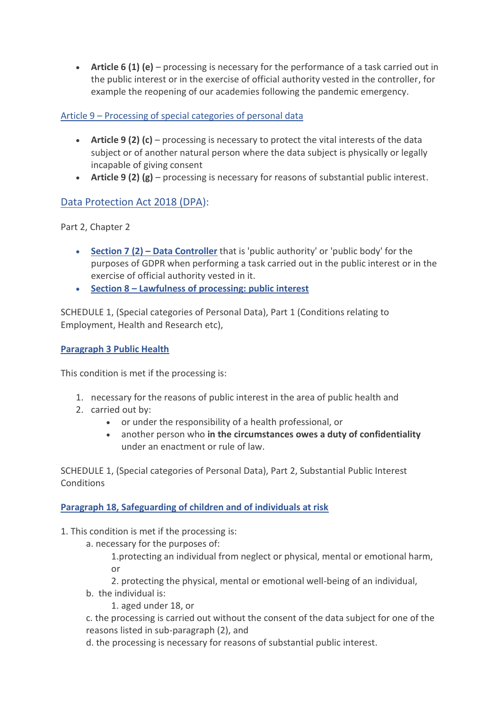• **Article 6 (1) (e)** – processing is necessary for the performance of a task carried out in the public interest or in the exercise of official authority vested in the controller, for example the reopening of our academies following the pandemic emergency.

#### Article 9 – [Processing of special categories of personal data](https://gdpr.eu/article-9-processing-special-categories-of-personal-data-prohibited/)

- **Article 9 (2) (c)** processing is necessary to protect the vital interests of the data subject or of another natural person where the data subject is physically or legally incapable of giving consent
- **Article 9 (2) (g)** processing is necessary for reasons of substantial public interest.

### [Data Protection Act 2018 \(DPA\)](http://www.legislation.gov.uk/ukpga/2018/12/contents/enacted):

Part 2, Chapter 2

- **Section 7 (2) – [Data Controller](http://www.legislation.gov.uk/ukpga/2018/12/section/7/enacted)** that is 'public authority' or 'public body' for the purposes of GDPR when performing a task carried out in the public interest or in the exercise of official authority vested in it.
- **Section 8 – [Lawfulness of processing: public interest](http://www.legislation.gov.uk/ukpga/2018/12/section/8/enacted)**

SCHEDULE 1, (Special categories of Personal Data), Part 1 (Conditions relating to Employment, Health and Research etc),

#### **[Paragraph 3 Public Health](http://www.legislation.gov.uk/ukpga/2018/12/schedule/1/paragraph/3/enacted)**

This condition is met if the processing is:

- 1. necessary for the reasons of public interest in the area of public health and
- 2. carried out by:
	- or under the responsibility of a health professional, or
	- another person who **in the circumstances owes a duty of confidentiality**  under an enactment or rule of law.

SCHEDULE 1, (Special categories of Personal Data), Part 2, Substantial Public Interest **Conditions** 

#### **[Paragraph 18, Safeguarding of children and of individuals at risk](http://www.legislation.gov.uk/ukpga/2018/12/schedule/1/paragraph/18/enacted)**

- 1. This condition is met if the processing is:
	- a. necessary for the purposes of:

1.protecting an individual from neglect or physical, mental or emotional harm, or

2. protecting the physical, mental or emotional well-being of an individual,

- b. the individual is:
	- 1. aged under 18, or

c. the processing is carried out without the consent of the data subject for one of the reasons listed in sub-paragraph (2), and

d. the processing is necessary for reasons of substantial public interest.